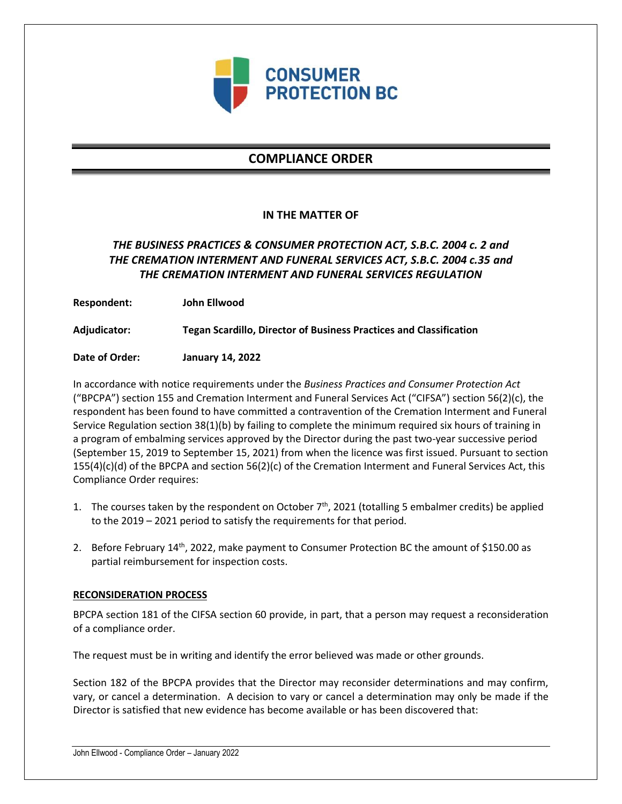

# **COMPLIANCE ORDER**

### **IN THE MATTER OF**

## *THE BUSINESS PRACTICES & CONSUMER PROTECTION ACT, S.B.C. 2004 c. 2 and THE CREMATION INTERMENT AND FUNERAL SERVICES ACT, S.B.C. 2004 c.35 and THE CREMATION INTERMENT AND FUNERAL SERVICES REGULATION*

**Respondent: John Ellwood**

**Adjudicator: Tegan Scardillo, Director of Business Practices and Classification**

**Date of Order: January 14, 2022**

In accordance with notice requirements under the *Business Practices and Consumer Protection Act* ("BPCPA") section 155 and Cremation Interment and Funeral Services Act ("CIFSA") section 56(2)(c), the respondent has been found to have committed a contravention of the Cremation Interment and Funeral Service Regulation section 38(1)(b) by failing to complete the minimum required six hours of training in a program of embalming services approved by the Director during the past two-year successive period (September 15, 2019 to September 15, 2021) from when the licence was first issued. Pursuant to section  $155(4)(c)(d)$  of the BPCPA and section  $56(2)(c)$  of the Cremation Interment and Funeral Services Act, this Compliance Order requires:

- 1. The courses taken by the respondent on October  $7<sup>th</sup>$ , 2021 (totalling 5 embalmer credits) be applied to the 2019 – 2021 period to satisfy the requirements for that period.
- 2. Before February 14<sup>th</sup>, 2022, make payment to Consumer Protection BC the amount of \$150.00 as partial reimbursement for inspection costs.

#### **RECONSIDERATION PROCESS**

BPCPA section 181 of the CIFSA section 60 provide, in part, that a person may request a reconsideration of a compliance order.

The request must be in writing and identify the error believed was made or other grounds.

Section 182 of the BPCPA provides that the Director may reconsider determinations and may confirm, vary, or cancel a determination. A decision to vary or cancel a determination may only be made if the Director is satisfied that new evidence has become available or has been discovered that: